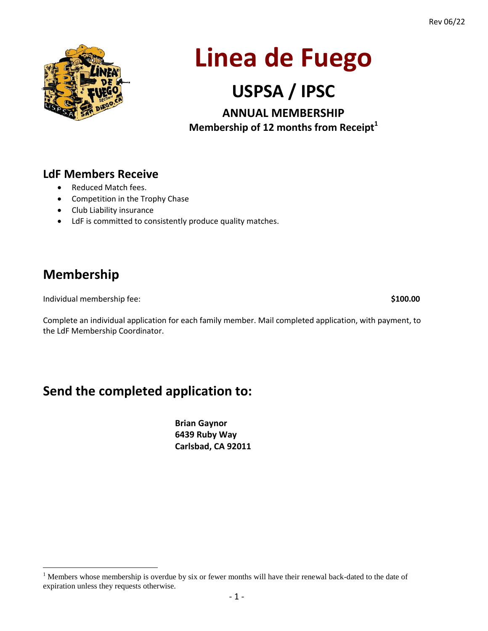

# **Linea de Fuego**

## **USPSA / IPSC**

**ANNUAL MEMBERSHIP Membership of 12 months from Receipt<sup>1</sup>**

#### **LdF Members Receive**

- Reduced Match fees.
- Competition in the Trophy Chase
- Club Liability insurance
- LdF is committed to consistently produce quality matches.

### **Membership**

 $\overline{a}$ 

Individual membership fee: **\$100.00**

Complete an individual application for each family member. Mail completed application, with payment, to the LdF Membership Coordinator.

## **Send the completed application to:**

**Brian Gaynor 6439 Ruby Way Carlsbad, CA 92011**

<sup>&</sup>lt;sup>1</sup> Members whose membership is overdue by six or fewer months will have their renewal back-dated to the date of expiration unless they requests otherwise.